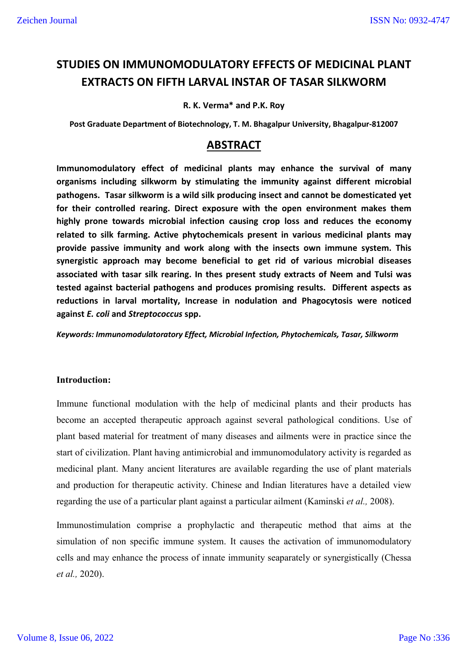# **STUDIES ON IMMUNOMODULATORY EFFECTS OF MEDICINAL PLANT EXTRACTS ON FIFTH LARVAL INSTAR OF TASAR SILKWORM**

## **R. K. Verma\* and P.K. Roy**

**Post Graduate Department of Biotechnology, T. M. Bhagalpur University, Bhagalpur-812007**

## **ABSTRACT**

**Immunomodulatory effect of medicinal plants may enhance the survival of many organisms including silkworm by stimulating the immunity against different microbial pathogens. Tasar silkworm is a wild silk producing insect and cannot be domesticated yet for their controlled rearing. Direct exposure with the open environment makes them highly prone towards microbial infection causing crop loss and reduces the economy related to silk farming. Active phytochemicals present in various medicinal plants may provide passive immunity and work along with the insects own immune system. This synergistic approach may become beneficial to get rid of various microbial diseases associated with tasar silk rearing. In thes present study extracts of Neem and Tulsi was tested against bacterial pathogens and produces promising results. Different aspects as reductions in larval mortality, Increase in nodulation and Phagocytosis were noticed against** *E. coli* **and** *Streptococcus* **spp.**

*Keywords: Immunomodulatoratory Effect, Microbial Infection, Phytochemicals, Tasar, Silkworm*

#### **Introduction:**

Immune functional modulation with the help of medicinal plants and their products has become an accepted therapeutic approach against several pathological conditions. Use of plant based material for treatment of many diseases and ailments were in practice since the start of civilization. Plant having antimicrobial and immunomodulatory activity is regarded as medicinal plant. Many ancient literatures are available regarding the use of plant materials and production for therapeutic activity. Chinese and Indian literatures have a detailed view regarding the use of a particular plant against a particular ailment (Kaminski *et al.,* 2008).

Immunostimulation comprise a prophylactic and therapeutic method that aims at the simulation of non specific immune system. It causes the activation of immunomodulatory cells and may enhance the process of innate immunity seaparately or synergistically (Chessa *et al.,* 2020).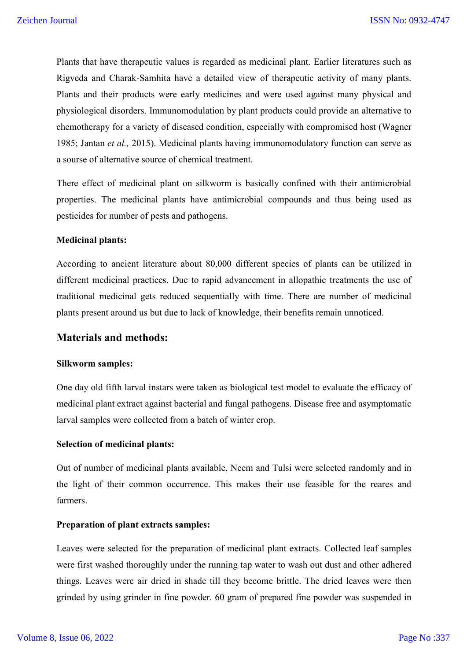Plants that have therapeutic values is regarded as medicinal plant. Earlier literatures such as Rigveda and Charak-Samhita have a detailed view of therapeutic activity of many plants. Plants and their products were early medicines and were used against many physical and physiological disorders. Immunomodulation by plant products could provide an alternative to chemotherapy for a variety of diseased condition, especially with compromised host (Wagner 1985; Jantan *et al.,* 2015). Medicinal plants having immunomodulatory function can serve as a sourse of alternative source of chemical treatment.

There effect of medicinal plant on silkworm is basically confined with their antimicrobial properties. The medicinal plants have antimicrobial compounds and thus being used as pesticides for number of pests and pathogens.

#### **Medicinal plants:**

According to ancient literature about 80,000 different species of plants can be utilized in different medicinal practices. Due to rapid advancement in allopathic treatments the use of traditional medicinal gets reduced sequentially with time. There are number of medicinal plants present around us but due to lack of knowledge, their benefits remain unnoticed.

## **Materials and methods:**

#### **Silkworm samples:**

One day old fifth larval instars were taken as biological test model to evaluate the efficacy of medicinal plant extract against bacterial and fungal pathogens. Disease free and asymptomatic larval samples were collected from a batch of winter crop.

## **Selection of medicinal plants:**

Out of number of medicinal plants available, Neem and Tulsi were selected randomly and in the light of their common occurrence. This makes their use feasible for the reares and farmers.

#### **Preparation of plant extracts samples:**

Leaves were selected for the preparation of medicinal plant extracts. Collected leaf samples were first washed thoroughly under the running tap water to wash out dust and other adhered things. Leaves were air dried in shade till they become brittle. The dried leaves were then grinded by using grinder in fine powder. 60 gram of prepared fine powder was suspended in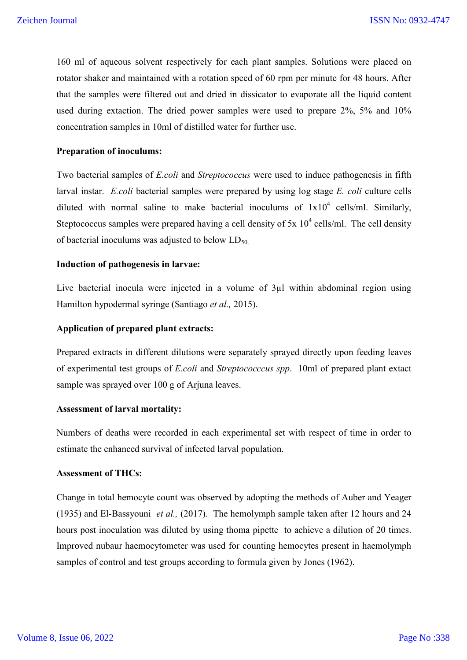160 ml of aqueous solvent respectively for each plant samples. Solutions were placed on rotator shaker and maintained with a rotation speed of 60 rpm per minute for 48 hours. After that the samples were filtered out and dried in dissicator to evaporate all the liquid content used during extaction. The dried power samples were used to prepare 2%, 5% and 10% concentration samples in 10ml of distilled water for further use.

## **Preparation of inoculums:**

Two bacterial samples of *E.coli* and *Streptococcus* were used to induce pathogenesis in fifth larval instar. *E.coli* bacterial samples were prepared by using log stage *E. coli* culture cells diluted with normal saline to make bacterial inoculums of  $1x10^4$  cells/ml. Similarly, Steptococcus samples were prepared having a cell density of  $5x 10^4$  cells/ml. The cell density of bacterial inoculums was adjusted to below  $LD_{50}$ .

## **Induction of pathogenesis in larvae:**

Live bacterial inocula were injected in a volume of 3µl within abdominal region using Hamilton hypodermal syringe (Santiago *et al.,* 2015).

## **Application of prepared plant extracts:**

Prepared extracts in different dilutions were separately sprayed directly upon feeding leaves of experimental test groups of *E.coli* and *Streptococccus spp*. 10ml of prepared plant extact sample was sprayed over 100 g of Arjuna leaves.

#### **Assessment of larval mortality:**

Numbers of deaths were recorded in each experimental set with respect of time in order to estimate the enhanced survival of infected larval population.

#### **Assessment of THCs:**

Change in total hemocyte count was observed by adopting the methods of Auber and Yeager (1935) and El-Bassyouni *et al.,* (2017). The hemolymph sample taken after 12 hours and 24 hours post inoculation was diluted by using thoma pipette to achieve a dilution of 20 times. Improved nubaur haemocytometer was used for counting hemocytes present in haemolymph samples of control and test groups according to formula given by Jones (1962).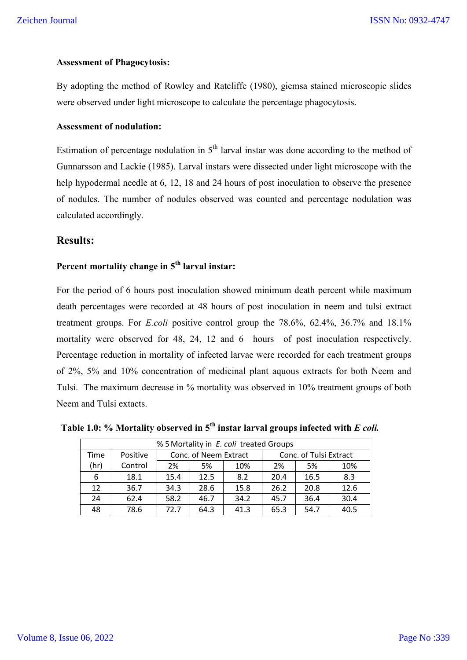## **Assessment of Phagocytosis:**

By adopting the method of Rowley and Ratcliffe (1980), giemsa stained microscopic slides were observed under light microscope to calculate the percentage phagocytosis.

## **Assessment of nodulation:**

Estimation of percentage nodulation in  $5<sup>th</sup>$  larval instar was done according to the method of Gunnarsson and Lackie (1985). Larval instars were dissected under light microscope with the help hypodermal needle at 6, 12, 18 and 24 hours of post inoculation to observe the presence of nodules. The number of nodules observed was counted and percentage nodulation was calculated accordingly.

## **Results:**

## **Percent mortality change in 5th larval instar:**

For the period of 6 hours post inoculation showed minimum death percent while maximum death percentages were recorded at 48 hours of post inoculation in neem and tulsi extract treatment groups. For *E.coli* positive control group the 78.6%, 62.4%, 36.7% and 18.1% mortality were observed for 48, 24, 12 and 6 hours of post inoculation respectively. Percentage reduction in mortality of infected larvae were recorded for each treatment groups of 2%, 5% and 10% concentration of medicinal plant aquous extracts for both Neem and Tulsi. The maximum decrease in % mortality was observed in 10% treatment groups of both Neem and Tulsi extacts.

| % 5 Mortality in E. coli treated Groups |          |      |                                                 |      |      |      |      |  |  |
|-----------------------------------------|----------|------|-------------------------------------------------|------|------|------|------|--|--|
| Time                                    | Positive |      | Conc. of Tulsi Extract<br>Conc. of Neem Extract |      |      |      |      |  |  |
| (hr)                                    | Control  | 2%   | 5%                                              | 10%  | 2%   | 5%   | 10%  |  |  |
| 6                                       | 18.1     | 15.4 | 12.5                                            | 8.2  | 20.4 | 16.5 | 8.3  |  |  |
| 12                                      | 36.7     | 34.3 | 28.6                                            | 15.8 | 26.2 | 20.8 | 12.6 |  |  |
| 24                                      | 62.4     | 58.2 | 46.7                                            | 34.2 | 45.7 | 36.4 | 30.4 |  |  |
| 48                                      | 78.6     | 72.7 | 64.3                                            | 41.3 | 65.3 | 54.7 | 40.5 |  |  |

 **Table 1.0: % Mortality observed in 5th instar larval groups infected with** *E coli.*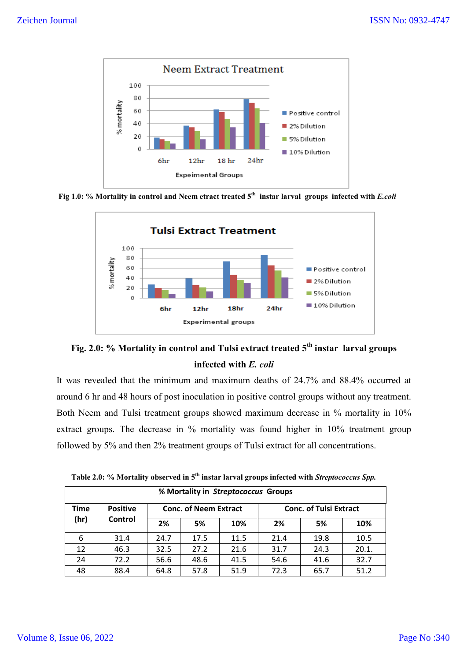

Fig 1.0: % Mortality in control and Neem etract treated 5<sup>th</sup> instar larval groups infected with *E.coli* 





It was revealed that the minimum and maximum deaths of 24.7% and 88.4% occurred at around 6 hr and 48 hours of post inoculation in positive control groups without any treatment. Both Neem and Tulsi treatment groups showed maximum decrease in % mortality in 10% extract groups. The decrease in % mortality was found higher in 10% treatment group followed by 5% and then 2% treatment groups of Tulsi extract for all concentrations.

| % Mortality in Streptococcus Groups |                 |      |                              |      |                               |      |       |  |  |
|-------------------------------------|-----------------|------|------------------------------|------|-------------------------------|------|-------|--|--|
| Time                                | <b>Positive</b> |      | <b>Conc. of Neem Extract</b> |      | <b>Conc. of Tulsi Extract</b> |      |       |  |  |
| (hr)                                | Control         | 2%   | 5%                           | 10%  | 2%                            | 5%   | 10%   |  |  |
| 6                                   | 31.4            | 24.7 | 17.5                         | 11.5 | 21.4                          | 19.8 | 10.5  |  |  |
| 12                                  | 46.3            | 32.5 | 27.2                         | 21.6 | 31.7                          | 24.3 | 20.1. |  |  |
| 24                                  | 72.2            | 56.6 | 48.6                         | 41.5 | 54.6                          | 41.6 | 32.7  |  |  |
| 48                                  | 88.4            | 64.8 | 57.8                         | 51.9 | 72.3                          | 65.7 | 51.2  |  |  |

 **Table 2.0: % Mortality observed in 5th instar larval groups infected with** *Streptococcus Spp.*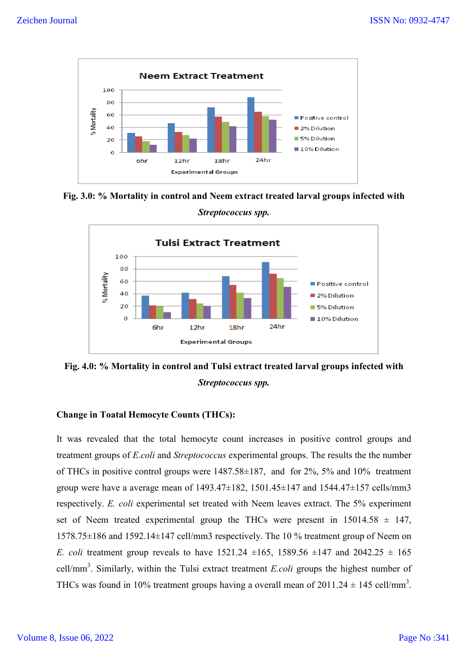

**Fig. 3.0: % Mortality in control and Neem extract treated larval groups infected with** 



**Fig. 4.0: % Mortality in control and Tulsi extract treated larval groups infected with** *Streptococcus spp.*

## **Change in Toatal Hemocyte Counts (THCs):**

It was revealed that the total hemocyte count increases in positive control groups and treatment groups of *E.coli* and *Streptococcus* experimental groups. The results the the number of THCs in positive control groups were 1487.58±187, and for 2%, 5% and 10% treatment group were have a average mean of  $1493.47 \pm 182$ ,  $1501.45 \pm 147$  and  $1544.47 \pm 157$  cells/mm3 respectively. *E. coli* experimental set treated with Neem leaves extract. The 5% experiment set of Neem treated experimental group the THCs were present in  $15014.58 \pm 147$ , 1578.75±186 and 1592.14±147 cell/mm3 respectively. The 10 % treatment group of Neem on *E. coli* treatment group reveals to have 1521.24  $\pm 165$ , 1589.56  $\pm 147$  and 2042.25  $\pm$  165 cell/mm<sup>3</sup> . Similarly, within the Tulsi extract treatment *E.coli* groups the highest number of THCs was found in 10% treatment groups having a overall mean of  $2011.24 \pm 145$  cell/mm<sup>3</sup>.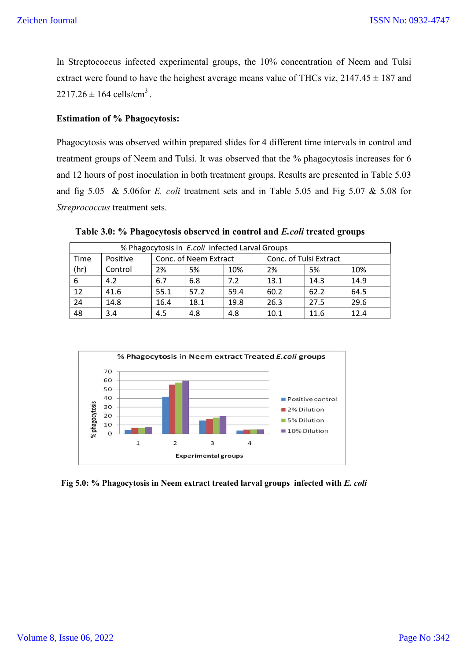In Streptococcus infected experimental groups, the 10% concentration of Neem and Tulsi extract were found to have the heighest average means value of THCs viz,  $2147.45 \pm 187$  and  $2217.26 \pm 164$  cells/cm<sup>3</sup>.

## **Estimation of % Phagocytosis:**

Phagocytosis was observed within prepared slides for 4 different time intervals in control and treatment groups of Neem and Tulsi. It was observed that the % phagocytosis increases for 6 and 12 hours of post inoculation in both treatment groups. Results are presented in Table 5.03 and fig 5.05 & 5.06for *E. coli* treatment sets and in Table 5.05 and Fig 5.07 & 5.08 for *Streprococcus* treatment sets.

| % Phagocytosis in E.coli infected Larval Groups |          |                 |                       |      |                        |      |      |  |  |
|-------------------------------------------------|----------|-----------------|-----------------------|------|------------------------|------|------|--|--|
| Time                                            | Positive |                 | Conc. of Neem Extract |      | Conc. of Tulsi Extract |      |      |  |  |
| (hr)                                            | Control  | 2%<br>5%<br>10% |                       |      | 2%                     | 5%   | 10%  |  |  |
| 6                                               | 4.2      | 6.7             | 6.8                   | 7.2  | 13.1                   | 14.3 | 14.9 |  |  |
| 12                                              | 41.6     | 55.1            | 57.2                  | 59.4 | 60.2                   | 62.2 | 64.5 |  |  |
| 24                                              | 14.8     | 16.4            | 18.1                  | 19.8 | 26.3                   | 27.5 | 29.6 |  |  |
| 48                                              | 3.4      | 4.5             | 4.8                   | 4.8  | 10.1                   | 11.6 | 12.4 |  |  |

 **Table 3.0: % Phagocytosis observed in control and** *E.coli* **treated groups**



 **Fig 5.0: % Phagocytosis in Neem extract treated larval groups infected with** *E. coli*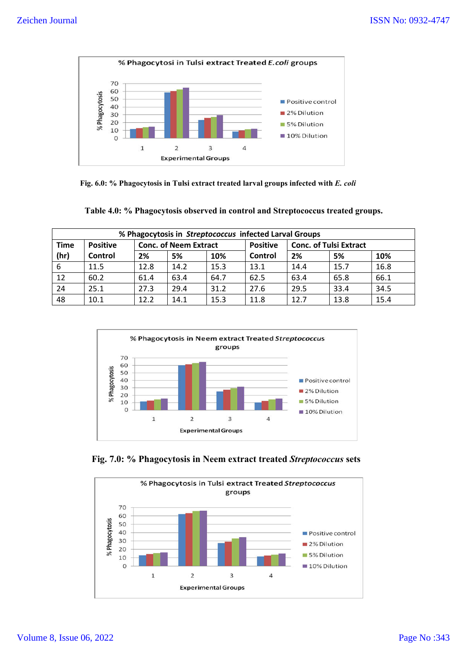

 **Fig. 6.0: % Phagocytosis in Tulsi extract treated larval groups infected with** *E. coli*

| Table 4.0: % Phagocytosis observed in control and Streptococcus treated groups. |  |  |  |
|---------------------------------------------------------------------------------|--|--|--|
|---------------------------------------------------------------------------------|--|--|--|

| % Phagocytosis in Streptococcus infected Larval Groups |                 |      |                              |      |                 |                               |      |      |  |  |
|--------------------------------------------------------|-----------------|------|------------------------------|------|-----------------|-------------------------------|------|------|--|--|
| <b>Time</b>                                            | <b>Positive</b> |      | <b>Conc. of Neem Extract</b> |      | <b>Positive</b> | <b>Conc. of Tulsi Extract</b> |      |      |  |  |
| (hr)                                                   | Control         | 2%   | 5%                           | 10%  | Control         | 2%                            | 5%   | 10%  |  |  |
| 6                                                      | 11.5            | 12.8 | 14.2                         | 15.3 | 13.1            | 14.4                          | 15.7 | 16.8 |  |  |
| 12                                                     | 60.2            | 61.4 | 63.4                         | 64.7 | 62.5            | 63.4                          | 65.8 | 66.1 |  |  |
| 24                                                     | 25.1            | 27.3 | 29.4                         | 31.2 | 27.6            | 29.5                          | 33.4 | 34.5 |  |  |
| 48                                                     | 10.1            | 12.2 | 14.1                         | 15.3 | 11.8            | 12.7                          | 13.8 | 15.4 |  |  |



 **Fig. 7.0: % Phagocytosis in Neem extract treated** *Streptococcus* **sets**

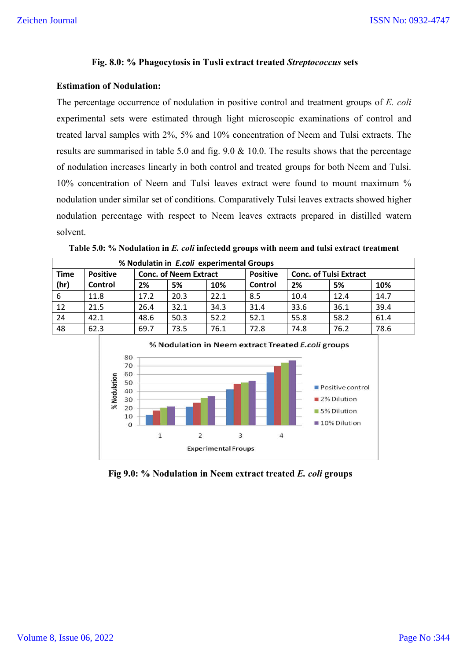## **Fig. 8.0: % Phagocytosis in Tusli extract treated** *Streptococcus* **sets**

#### **Estimation of Nodulation:**

The percentage occurrence of nodulation in positive control and treatment groups of *E. coli* experimental sets were estimated through light microscopic examinations of control and treated larval samples with 2%, 5% and 10% concentration of Neem and Tulsi extracts. The results are summarised in table 5.0 and fig. 9.0 & 10.0. The results shows that the percentage of nodulation increases linearly in both control and treated groups for both Neem and Tulsi. 10% concentration of Neem and Tulsi leaves extract were found to mount maximum % nodulation under similar set of conditions. Comparatively Tulsi leaves extracts showed higher nodulation percentage with respect to Neem leaves extracts prepared in distilled watern solvent.

| % Nodulatin in E.coli experimental Groups |                 |      |                              |      |                 |                               |      |      |  |  |
|-------------------------------------------|-----------------|------|------------------------------|------|-----------------|-------------------------------|------|------|--|--|
| <b>Time</b>                               | <b>Positive</b> |      | <b>Conc. of Neem Extract</b> |      | <b>Positive</b> | <b>Conc. of Tulsi Extract</b> |      |      |  |  |
| (hr)                                      | Control         | 2%   | 5%                           | 10%  | Control         | 2%                            | 5%   | 10%  |  |  |
| -6                                        | 11.8            | 17.2 | 20.3                         | 22.1 | 8.5             | 10.4                          | 12.4 | 14.7 |  |  |
| 12                                        | 21.5            | 26.4 | 32.1                         | 34.3 | 31.4            | 33.6                          | 36.1 | 39.4 |  |  |
| 24                                        | 42.1            | 48.6 | 50.3                         | 52.2 | 52.1            | 55.8                          | 58.2 | 61.4 |  |  |
| 48                                        | 62.3            | 69.7 | 73.5                         | 76.1 | 72.8            | 74.8                          | 76.2 | 78.6 |  |  |

**Table 5.0: % Nodulation in** *E. coli* **infectedd groups with neem and tulsi extract treatment**



**Fig 9.0: % Nodulation in Neem extract treated** *E. coli* **groups**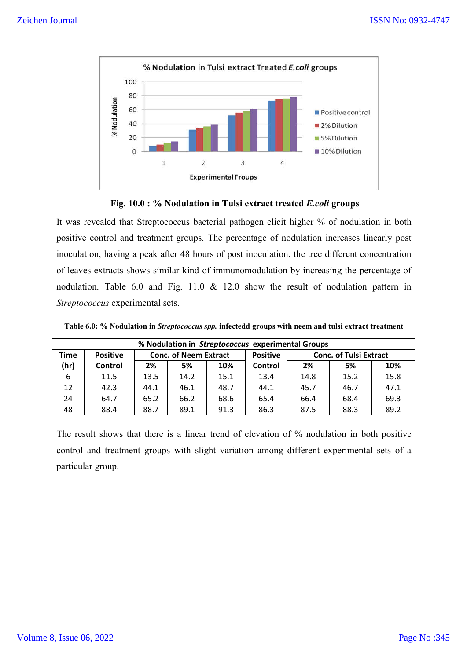



It was revealed that Streptococcus bacterial pathogen elicit higher % of nodulation in both positive control and treatment groups. The percentage of nodulation increases linearly post inoculation, having a peak after 48 hours of post inoculation. the tree different concentration of leaves extracts shows similar kind of immunomodulation by increasing the percentage of nodulation. Table 6.0 and Fig. 11.0 & 12.0 show the result of nodulation pattern in *Streptococcus* experimental sets.

**Table 6.0: % Nodulation in** *Streptococcus spp.* **infectedd groups with neem and tulsi extract treatment**

| % Nodulation in Streptococcus experimental Groups |                 |                              |      |      |                 |                               |      |      |  |
|---------------------------------------------------|-----------------|------------------------------|------|------|-----------------|-------------------------------|------|------|--|
| Time                                              | <b>Positive</b> | <b>Conc. of Neem Extract</b> |      |      | <b>Positive</b> | <b>Conc. of Tulsi Extract</b> |      |      |  |
| (hr)                                              | Control         | 2%                           | 5%   | 10%  | Control         | 2%                            | 5%   | 10%  |  |
| 6                                                 | 11.5            | 13.5                         | 14.2 | 15.1 | 13.4            | 14.8                          | 15.2 | 15.8 |  |
| 12                                                | 42.3            | 44.1                         | 46.1 | 48.7 | 44.1            | 45.7                          | 46.7 | 47.1 |  |
| 24                                                | 64.7            | 65.2                         | 66.2 | 68.6 | 65.4            | 66.4                          | 68.4 | 69.3 |  |
| 48                                                | 88.4            | 88.7                         | 89.1 | 91.3 | 86.3            | 87.5                          | 88.3 | 89.2 |  |

The result shows that there is a linear trend of elevation of % nodulation in both positive control and treatment groups with slight variation among different experimental sets of a particular group.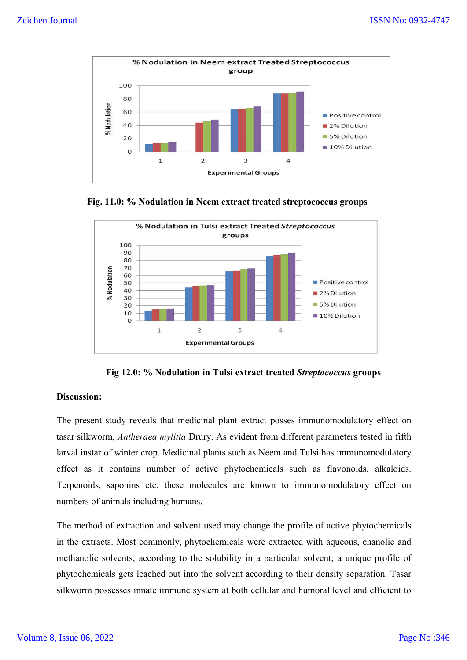

 **Fig. 11.0: % Nodulation in Neem extract treated streptococcus groups**



**Fig 12.0: % Nodulation in Tulsi extract treated** *Streptococcus* **groups**

#### **Discussion:**

The present study reveals that medicinal plant extract posses immunomodulatory effect on tasar silkworm, *Antheraea mylitta* Drury. As evident from different parameters tested in fifth larval instar of winter crop. Medicinal plants such as Neem and Tulsi has immunomodulatory effect as it contains number of active phytochemicals such as flavonoids, alkaloids. Terpenoids, saponins etc. these molecules are known to immunomodulatory effect on numbers of animals including humans.

The method of extraction and solvent used may change the profile of active phytochemicals in the extracts. Most commonly, phytochemicals were extracted with aqueous, ehanolic and methanolic solvents, according to the solubility in a particular solvent; a unique profile of phytochemicals gets leached out into the solvent according to their density separation. Tasar silkworm possesses innate immune system at both cellular and humoral level and efficient to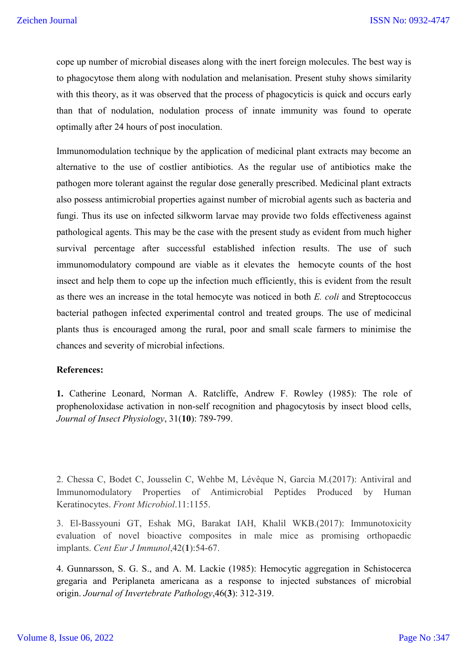cope up number of microbial diseases along with the inert foreign molecules. The best way is to phagocytose them along with nodulation and melanisation. Present stuhy shows similarity with this theory, as it was observed that the process of phagocyticis is quick and occurs early than that of nodulation, nodulation process of innate immunity was found to operate optimally after 24 hours of post inoculation.

Immunomodulation technique by the application of medicinal plant extracts may become an alternative to the use of costlier antibiotics. As the regular use of antibiotics make the pathogen more tolerant against the regular dose generally prescribed. Medicinal plant extracts also possess antimicrobial properties against number of microbial agents such as bacteria and fungi. Thus its use on infected silkworm larvae may provide two folds effectiveness against pathological agents. This may be the case with the present study as evident from much higher survival percentage after successful established infection results. The use of such immunomodulatory compound are viable as it elevates the hemocyte counts of the host insect and help them to cope up the infection much efficiently, this is evident from the result as there wes an increase in the total hemocyte was noticed in both *E. coli* and Streptococcus bacterial pathogen infected experimental control and treated groups. The use of medicinal plants thus is encouraged among the rural, poor and small scale farmers to minimise the chances and severity of microbial infections.

#### **References:**

**1.** Catherine Leonard, Norman A. Ratcliffe, Andrew F. Rowley (1985): The role of prophenoloxidase activation in non-self recognition and phagocytosis by insect blood cells, *Journal of Insect Physiology*, 31(**10**): 789-799.

2. Chessa C, Bodet C, Jousselin C, Wehbe M, Lévêque N, Garcia M.(2017): Antiviral and Immunomodulatory Properties of Antimicrobial Peptides Produced by Human Keratinocytes. *Front Microbiol*.11:1155.

3. El-Bassyouni GT, Eshak MG, Barakat IAH, Khalil WKB.(2017): Immunotoxicity evaluation of novel bioactive composites in male mice as promising orthopaedic implants. *Cent Eur J Immunol*,42(**1**):54-67.

4. Gunnarsson, S. G. S., and A. M. Lackie (1985): Hemocytic aggregation in Schistocerca gregaria and Periplaneta americana as a response to injected substances of microbial origin. *Journal of Invertebrate Pathology*,46(**3**): 312-319.